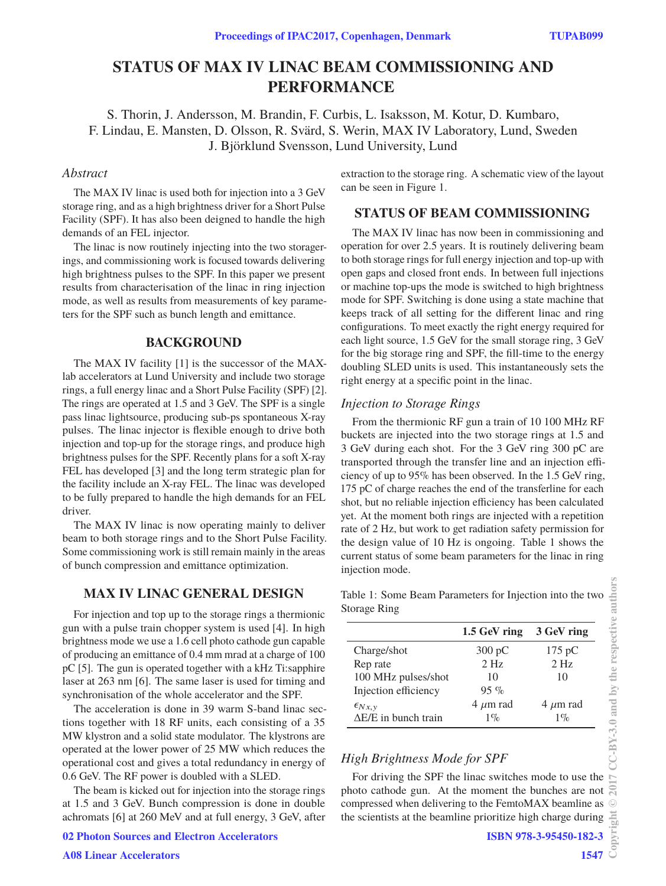# **STATUS OF MAX IV LINAC BEAM COMMISSIONING AND PERFORMANCE**

S. Thorin, J. Andersson, M. Brandin, F. Curbis, L. Isaksson, M. Kotur, D. Kumbaro, F. Lindau, E. Mansten, D. Olsson, R. Svärd, S. Werin, MAX IV Laboratory, Lund, Sweden J. Björklund Svensson, Lund University, Lund

## *Abstract*

The MAX IV linac is used both for injection into a 3 GeV storage ring, and as a high brightness driver for a Short Pulse Facility (SPF). It has also been deigned to handle the high demands of an FEL injector.

The linac is now routinely injecting into the two storagerings, and commissioning work is focused towards delivering high brightness pulses to the SPF. In this paper we present results from characterisation of the linac in ring injection mode, as well as results from measurements of key parameters for the SPF such as bunch length and emittance.

## **BACKGROUND**

The MAX IV facility [1] is the successor of the MAXlab accelerators at Lund University and include two storage rings, a full energy linac and a Short Pulse Facility (SPF) [2]. The rings are operated at 1.5 and 3 GeV. The SPF is a single pass linac lightsource, producing sub-ps spontaneous X-ray pulses. The linac injector is flexible enough to drive both injection and top-up for the storage rings, and produce high brightness pulses for the SPF. Recently plans for a soft X-ray FEL has developed [3] and the long term strategic plan for the facility include an X-ray FEL. The linac was developed to be fully prepared to handle the high demands for an FEL driver.

The MAX IV linac is now operating mainly to deliver beam to both storage rings and to the Short Pulse Facility. Some commissioning work is still remain mainly in the areas of bunch compression and emittance optimization.

## **MAX IV LINAC GENERAL DESIGN**

For injection and top up to the storage rings a thermionic gun with a pulse train chopper system is used [4]. In high brightness mode we use a 1.6 cell photo cathode gun capable of producing an emittance of 0.4 mm mrad at a charge of 100 pC [5]. The gun is operated together with a kHz Ti:sapphire laser at 263 nm [6]. The same laser is used for timing and synchronisation of the whole accelerator and the SPF.

The acceleration is done in 39 warm S-band linac sections together with 18 RF units, each consisting of a 35 MW klystron and a solid state modulator. The klystrons are operated at the lower power of 25 MW which reduces the operational cost and gives a total redundancy in energy of 0.6 GeV. The RF power is doubled with a SLED.

The beam is kicked out for injection into the storage rings at 1.5 and 3 GeV. Bunch compression is done in double achromats [6] at 260 MeV and at full energy, 3 GeV, after extraction to the storage ring. A schematic view of the layout can be seen in Figure 1.

## **STATUS OF BEAM COMMISSIONING**

The MAX IV linac has now been in commissioning and operation for over 2.5 years. It is routinely delivering beam to both storage rings for full energy injection and top-up with open gaps and closed front ends. In between full injections or machine top-ups the mode is switched to high brightness mode for SPF. Switching is done using a state machine that keeps track of all setting for the different linac and ring configurations. To meet exactly the right energy required for each light source, 1.5 GeV for the small storage ring, 3 GeV for the big storage ring and SPF, the fill-time to the energy doubling SLED units is used. This instantaneously sets the right energy at a specific point in the linac.

## *Injection to Storage Rings*

From the thermionic RF gun a train of 10 100 MHz RF buckets are injected into the two storage rings at 1.5 and 3 GeV during each shot. For the 3 GeV ring 300 pC are transported through the transfer line and an injection efficiency of up to 95% has been observed. In the 1.5 GeV ring, 175 pC of charge reaches the end of the transferline for each shot, but no reliable injection efficiency has been calculated yet. At the moment both rings are injected with a repetition rate of 2 Hz, but work to get radiation safety permission for the design value of 10 Hz is ongoing. Table 1 shows the current status of some beam parameters for the linac in ring injection mode.

Table 1: Some Beam Parameters for Injection into the two Storage Ring

|                             | 1.5 GeV ring     | 3 GeV ring       |
|-----------------------------|------------------|------------------|
| Charge/shot                 | $300 \text{ pC}$ | $175 \text{ pC}$ |
| Rep rate                    | 2 <sub>Hz</sub>  | $2$ Hz           |
| 100 MHz pulses/shot         | 10               | 10               |
| Injection efficiency        | $95\%$           |                  |
| $\epsilon_{Nx,y}$           | $4 \mu m$ rad    | $4 \mu m$ rad    |
| $\Delta E/E$ in bunch train | $1\%$            | $1\%$            |

## *High Brightness Mode for SPF*

For driving the SPF the linac switches mode to use the photo cathode gun. At the moment the bunches are not compressed when delivering to the FemtoMAX beamline as the scientists at the beamline prioritize high charge during

**1547**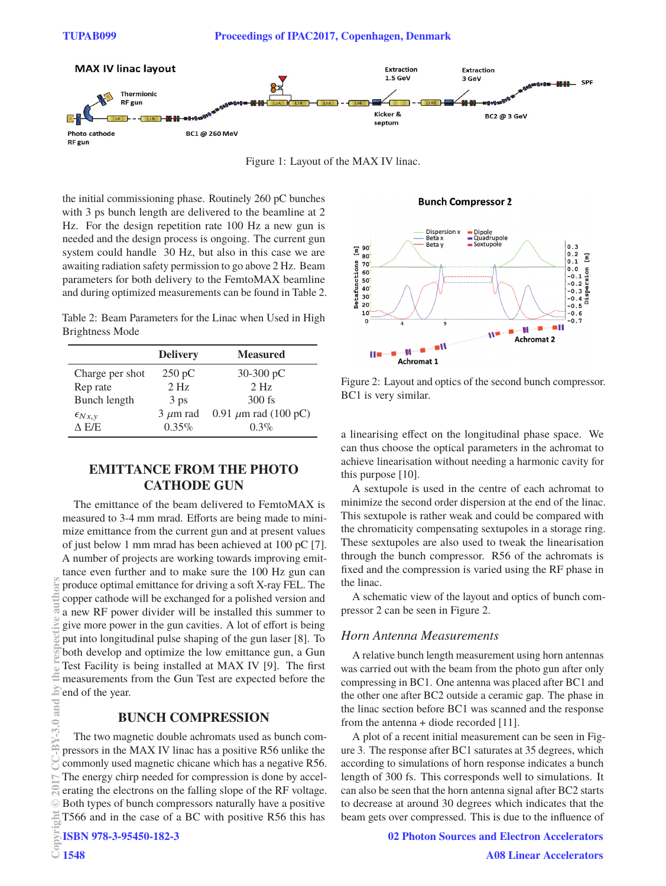

Figure 1: Layout of the MAX IV linac.

the initial commissioning phase. Routinely 260 pC bunches with 3 ps bunch length are delivered to the beamline at 2 Hz. For the design repetition rate 100 Hz a new gun is needed and the design process is ongoing. The current gun system could handle 30 Hz, but also in this case we are awaiting radiation safety permission to go above 2 Hz. Beam parameters for both delivery to the FemtoMAX beamline and during optimized measurements can be found in Table 2.

Table 2: Beam Parameters for the Linac when Used in High Brightness Mode

|                   | <b>Delivery</b> | <b>Measured</b>           |
|-------------------|-----------------|---------------------------|
| Charge per shot   | 250 pC          | $30-300$ pC               |
| Rep rate          | 2 <sub>Hz</sub> | 2 <sub>Hz</sub>           |
| Bunch length      | 3 ps            | $300$ fs                  |
| $\epsilon_{Nx,v}$ | $3 \mu m$ rad   | 0.91 $\mu$ m rad (100 pC) |
| A E/E             | $0.35\%$        | $0.3\%$                   |

## **EMITTANCE FROM THE PHOTO CATHODE GUN**

The emittance of the beam delivered to FemtoMAX is measured to 3-4 mm mrad. Efforts are being made to minimize emittance from the current gun and at present values of just below 1 mm mrad has been achieved at 100 pC [7]. A number of projects are working towards improving emittance even further and to make sure the 100 Hz gun can produce optimal emittance for driving a soft X-ray FEL. The copper cathode will be exchanged for a polished version and a new RF power divider will be installed this summer to give more power in the gun cavities. A lot of effort is being put into longitudinal pulse shaping of the gun laser [8]. To both develop and optimize the low emittance gun, a Gun Test Facility is being installed at MAX IV [9]. The first measurements from the Gun Test are expected before the end of the year.

## **BUNCH COMPRESSION**

The two magnetic double achromats used as bunch compressors in the MAX IV linac has a positive R56 unlike the commonly used magnetic chicane which has a negative R56. The energy chirp needed for compression is done by accelerating the electrons on the falling slope of the RF voltage. Both types of bunch compressors naturally have a positive T566 and in the case of a BC with positive R56 this has

**Bunch Compressor 2** 



Figure 2: Layout and optics of the second bunch compressor. BC1 is very similar.

a linearising effect on the longitudinal phase space. We can thus choose the optical parameters in the achromat to achieve linearisation without needing a harmonic cavity for this purpose [10].

A sextupole is used in the centre of each achromat to minimize the second order dispersion at the end of the linac. This sextupole is rather weak and could be compared with the chromaticity compensating sextupoles in a storage ring. These sextupoles are also used to tweak the linearisation through the bunch compressor. R56 of the achromats is fixed and the compression is varied using the RF phase in the linac.

A schematic view of the layout and optics of bunch compressor 2 can be seen in Figure 2.

#### *Horn Antenna Measurements*

A relative bunch length measurement using horn antennas was carried out with the beam from the photo gun after only compressing in BC1. One antenna was placed after BC1 and the other one after BC2 outside a ceramic gap. The phase in the linac section before BC1 was scanned and the response from the antenna + diode recorded [11].

A plot of a recent initial measurement can be seen in Figure 3. The response after BC1 saturates at 35 degrees, which according to simulations of horn response indicates a bunch length of 300 fs. This corresponds well to simulations. It can also be seen that the horn antenna signal after BC2 starts to decrease at around 30 degrees which indicates that the beam gets over compressed. This is due to the influence of

**02 Photon Sources and Electron Accelerators**